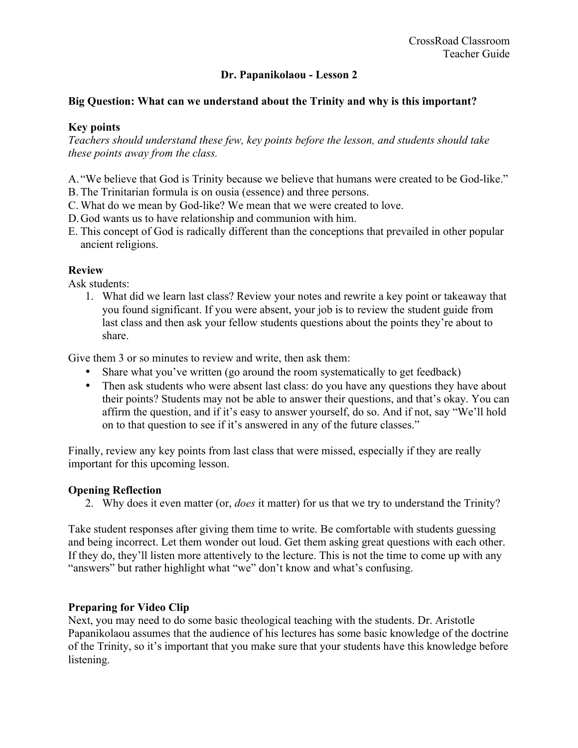## **Dr. Papanikolaou - Lesson 2**

### **Big Question: What can we understand about the Trinity and why is this important?**

## **Key points**

*Teachers should understand these few, key points before the lesson, and students should take these points away from the class.* 

- A. "We believe that God is Trinity because we believe that humans were created to be God-like."
- B. The Trinitarian formula is on ousia (essence) and three persons.
- C. What do we mean by God-like? We mean that we were created to love.
- D.God wants us to have relationship and communion with him.
- E. This concept of God is radically different than the conceptions that prevailed in other popular ancient religions.

#### **Review**

Ask students:

1. What did we learn last class? Review your notes and rewrite a key point or takeaway that you found significant. If you were absent, your job is to review the student guide from last class and then ask your fellow students questions about the points they're about to share.

Give them 3 or so minutes to review and write, then ask them:

- Share what you've written (go around the room systematically to get feedback)
- Then ask students who were absent last class: do you have any questions they have about their points? Students may not be able to answer their questions, and that's okay. You can affirm the question, and if it's easy to answer yourself, do so. And if not, say "We'll hold on to that question to see if it's answered in any of the future classes."

Finally, review any key points from last class that were missed, especially if they are really important for this upcoming lesson.

#### **Opening Reflection**

2. Why does it even matter (or, *does* it matter) for us that we try to understand the Trinity?

Take student responses after giving them time to write. Be comfortable with students guessing and being incorrect. Let them wonder out loud. Get them asking great questions with each other. If they do, they'll listen more attentively to the lecture. This is not the time to come up with any "answers" but rather highlight what "we" don't know and what's confusing.

### **Preparing for Video Clip**

Next, you may need to do some basic theological teaching with the students. Dr. Aristotle Papanikolaou assumes that the audience of his lectures has some basic knowledge of the doctrine of the Trinity, so it's important that you make sure that your students have this knowledge before listening.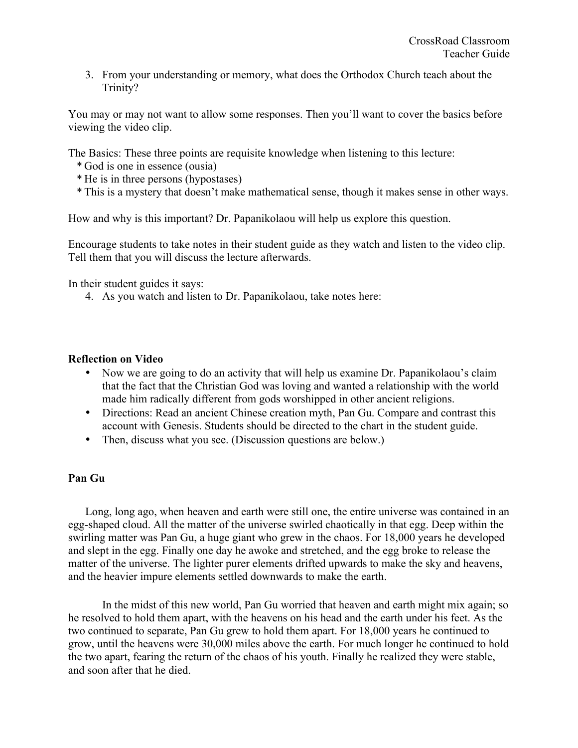3. From your understanding or memory, what does the Orthodox Church teach about the Trinity?

You may or may not want to allow some responses. Then you'll want to cover the basics before viewing the video clip.

The Basics: These three points are requisite knowledge when listening to this lecture:

- \* God is one in essence (ousia)
- \* He is in three persons (hypostases)
- \* This is a mystery that doesn't make mathematical sense, though it makes sense in other ways.

How and why is this important? Dr. Papanikolaou will help us explore this question.

Encourage students to take notes in their student guide as they watch and listen to the video clip. Tell them that you will discuss the lecture afterwards.

In their student guides it says:

4. As you watch and listen to Dr. Papanikolaou, take notes here:

## **Reflection on Video**

- Now we are going to do an activity that will help us examine Dr. Papanikolaou's claim that the fact that the Christian God was loving and wanted a relationship with the world made him radically different from gods worshipped in other ancient religions.
- Directions: Read an ancient Chinese creation myth, Pan Gu. Compare and contrast this account with Genesis. Students should be directed to the chart in the student guide.
- Then, discuss what you see. (Discussion questions are below.)

## **Pan Gu**

 Long, long ago, when heaven and earth were still one, the entire universe was contained in an egg-shaped cloud. All the matter of the universe swirled chaotically in that egg. Deep within the swirling matter was Pan Gu, a huge giant who grew in the chaos. For 18,000 years he developed and slept in the egg. Finally one day he awoke and stretched, and the egg broke to release the matter of the universe. The lighter purer elements drifted upwards to make the sky and heavens, and the heavier impure elements settled downwards to make the earth.

 In the midst of this new world, Pan Gu worried that heaven and earth might mix again; so he resolved to hold them apart, with the heavens on his head and the earth under his feet. As the two continued to separate, Pan Gu grew to hold them apart. For 18,000 years he continued to grow, until the heavens were 30,000 miles above the earth. For much longer he continued to hold the two apart, fearing the return of the chaos of his youth. Finally he realized they were stable, and soon after that he died.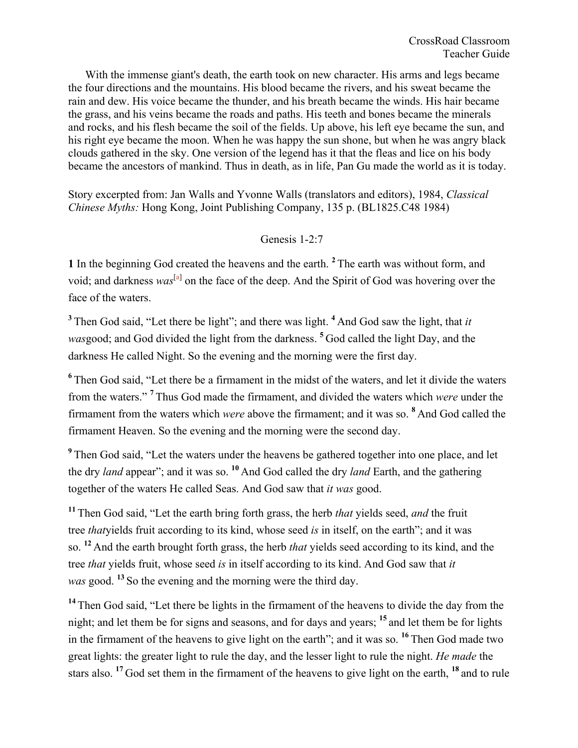With the immense giant's death, the earth took on new character. His arms and legs became the four directions and the mountains. His blood became the rivers, and his sweat became the rain and dew. His voice became the thunder, and his breath became the winds. His hair became the grass, and his veins became the roads and paths. His teeth and bones became the minerals and rocks, and his flesh became the soil of the fields. Up above, his left eye became the sun, and his right eye became the moon. When he was happy the sun shone, but when he was angry black clouds gathered in the sky. One version of the legend has it that the fleas and lice on his body became the ancestors of mankind. Thus in death, as in life, Pan Gu made the world as it is today.

Story excerpted from: Jan Walls and Yvonne Walls (translators and editors), 1984, *Classical Chinese Myths:* Hong Kong, Joint Publishing Company, 135 p. (BL1825.C48 1984)

# Genesis 1-2:7

**1** In the beginning God created the heavens and the earth. **<sup>2</sup>**The earth was without form, and void; and darkness was<sup>[a]</sup> on the face of the deep. And the Spirit of God was hovering over the face of the waters.

**<sup>3</sup>**Then God said, "Let there be light"; and there was light. **<sup>4</sup>**And God saw the light, that *it was*good; and God divided the light from the darkness. **<sup>5</sup>**God called the light Day, and the darkness He called Night. So the evening and the morning were the first day.

**<sup>6</sup>**Then God said, "Let there be a firmament in the midst of the waters, and let it divide the waters from the waters." **<sup>7</sup>**Thus God made the firmament, and divided the waters which *were* under the firmament from the waters which *were* above the firmament; and it was so. **<sup>8</sup>**And God called the firmament Heaven. So the evening and the morning were the second day.

**<sup>9</sup>**Then God said, "Let the waters under the heavens be gathered together into one place, and let the dry *land* appear"; and it was so. **<sup>10</sup>** And God called the dry *land* Earth, and the gathering together of the waters He called Seas. And God saw that *it was* good.

**<sup>11</sup>** Then God said, "Let the earth bring forth grass, the herb *that* yields seed, *and* the fruit tree *that*yields fruit according to its kind, whose seed *is* in itself, on the earth"; and it was so. **<sup>12</sup>** And the earth brought forth grass, the herb *that* yields seed according to its kind, and the tree *that* yields fruit, whose seed *is* in itself according to its kind. And God saw that *it was* good. **<sup>13</sup>** So the evening and the morning were the third day.

<sup>14</sup> Then God said, "Let there be lights in the firmament of the heavens to divide the day from the night; and let them be for signs and seasons, and for days and years; **<sup>15</sup>** and let them be for lights in the firmament of the heavens to give light on the earth"; and it was so. **<sup>16</sup>** Then God made two great lights: the greater light to rule the day, and the lesser light to rule the night. *He made* the stars also. **<sup>17</sup>** God set them in the firmament of the heavens to give light on the earth, **<sup>18</sup>** and to rule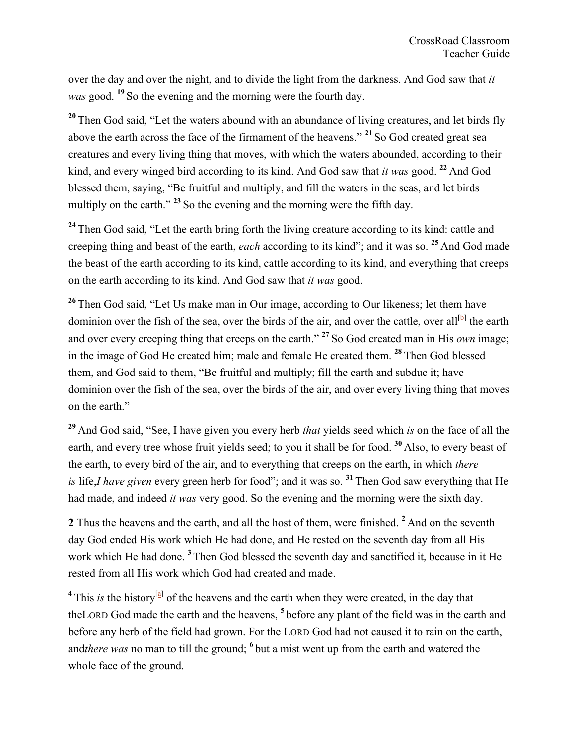over the day and over the night, and to divide the light from the darkness. And God saw that *it was* good. **<sup>19</sup>** So the evening and the morning were the fourth day.

<sup>20</sup> Then God said, "Let the waters abound with an abundance of living creatures, and let birds fly above the earth across the face of the firmament of the heavens." **<sup>21</sup>** So God created great sea creatures and every living thing that moves, with which the waters abounded, according to their kind, and every winged bird according to its kind. And God saw that *it was* good. **<sup>22</sup>** And God blessed them, saying, "Be fruitful and multiply, and fill the waters in the seas, and let birds multiply on the earth."<sup>23</sup> So the evening and the morning were the fifth day.

<sup>24</sup> Then God said, "Let the earth bring forth the living creature according to its kind: cattle and creeping thing and beast of the earth, *each* according to its kind"; and it was so. **<sup>25</sup>** And God made the beast of the earth according to its kind, cattle according to its kind, and everything that creeps on the earth according to its kind. And God saw that *it was* good.

<sup>26</sup> Then God said, "Let Us make man in Our image, according to Our likeness; let them have dominion over the fish of the sea, over the birds of the air, and over the cattle, over all<sup>[b]</sup> the earth and over every creeping thing that creeps on the earth." **<sup>27</sup>** So God created man in His *own* image; in the image of God He created him; male and female He created them. **<sup>28</sup>** Then God blessed them, and God said to them, "Be fruitful and multiply; fill the earth and subdue it; have dominion over the fish of the sea, over the birds of the air, and over every living thing that moves on the earth."

**<sup>29</sup>** And God said, "See, I have given you every herb *that* yields seed which *is* on the face of all the earth, and every tree whose fruit yields seed; to you it shall be for food. **<sup>30</sup>** Also, to every beast of the earth, to every bird of the air, and to everything that creeps on the earth, in which *there is* life,*I have given* every green herb for food"; and it was so. **<sup>31</sup>** Then God saw everything that He had made, and indeed *it was* very good. So the evening and the morning were the sixth day.

2 Thus the heavens and the earth, and all the host of them, were finished. <sup>2</sup> And on the seventh day God ended His work which He had done, and He rested on the seventh day from all His work which He had done. **<sup>3</sup>**Then God blessed the seventh day and sanctified it, because in it He rested from all His work which God had created and made.

<sup>4</sup> This *is* the history<sup>[a]</sup> of the heavens and the earth when they were created, in the day that theLORD God made the earth and the heavens, **<sup>5</sup>**before any plant of the field was in the earth and before any herb of the field had grown. For the LORD God had not caused it to rain on the earth, and*there was* no man to till the ground; **<sup>6</sup>**but a mist went up from the earth and watered the whole face of the ground.